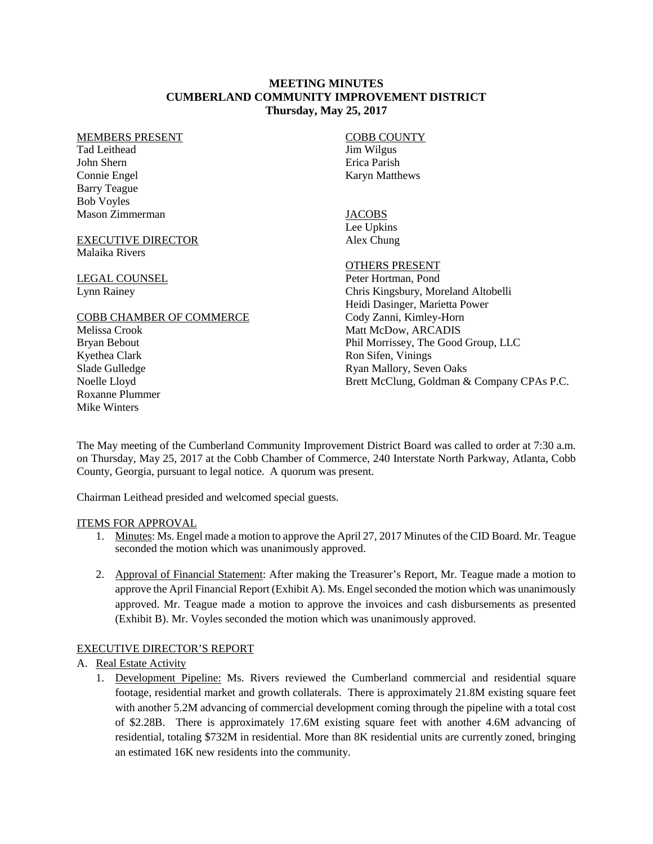## **MEETING MINUTES CUMBERLAND COMMUNITY IMPROVEMENT DISTRICT Thursday, May 25, 2017**

#### MEMBERS PRESENT

Tad Leithead John Shern Connie Engel Barry Teague Bob Voyles Mason Zimmerman

### EXECUTIVE DIRECTOR Malaika Rivers

LEGAL COUNSEL Lynn Rainey

### COBB CHAMBER OF COMMERCE

Melissa Crook Bryan Bebout Kyethea Clark Slade Gulledge Noelle Lloyd Roxanne Plummer Mike Winters

COBB COUNTY Jim Wilgus Erica Parish Karyn Matthews

### **JACOBS** Lee Upkins

Alex Chung

# OTHERS PRESENT

Peter Hortman, Pond Chris Kingsbury, Moreland Altobelli Heidi Dasinger, Marietta Power Cody Zanni, Kimley-Horn Matt McDow, ARCADIS Phil Morrissey, The Good Group, LLC Ron Sifen, Vinings Ryan Mallory, Seven Oaks Brett McClung, Goldman & Company CPAs P.C.

The May meeting of the Cumberland Community Improvement District Board was called to order at 7:30 a.m. on Thursday, May 25, 2017 at the Cobb Chamber of Commerce, 240 Interstate North Parkway, Atlanta, Cobb County, Georgia, pursuant to legal notice. A quorum was present.

Chairman Leithead presided and welcomed special guests.

### ITEMS FOR APPROVAL

- 1. Minutes: Ms. Engel made a motion to approve the April 27, 2017 Minutes of the CID Board. Mr. Teague seconded the motion which was unanimously approved.
- 2. Approval of Financial Statement: After making the Treasurer's Report, Mr. Teague made a motion to approve the April Financial Report (Exhibit A). Ms. Engelseconded the motion which was unanimously approved. Mr. Teague made a motion to approve the invoices and cash disbursements as presented (Exhibit B). Mr. Voyles seconded the motion which was unanimously approved.

## EXECUTIVE DIRECTOR'S REPORT

- A. Real Estate Activity
	- 1. Development Pipeline: Ms. Rivers reviewed the Cumberland commercial and residential square footage, residential market and growth collaterals. There is approximately 21.8M existing square feet with another 5.2M advancing of commercial development coming through the pipeline with a total cost of \$2.28B. There is approximately 17.6M existing square feet with another 4.6M advancing of residential, totaling \$732M in residential. More than 8K residential units are currently zoned, bringing an estimated 16K new residents into the community.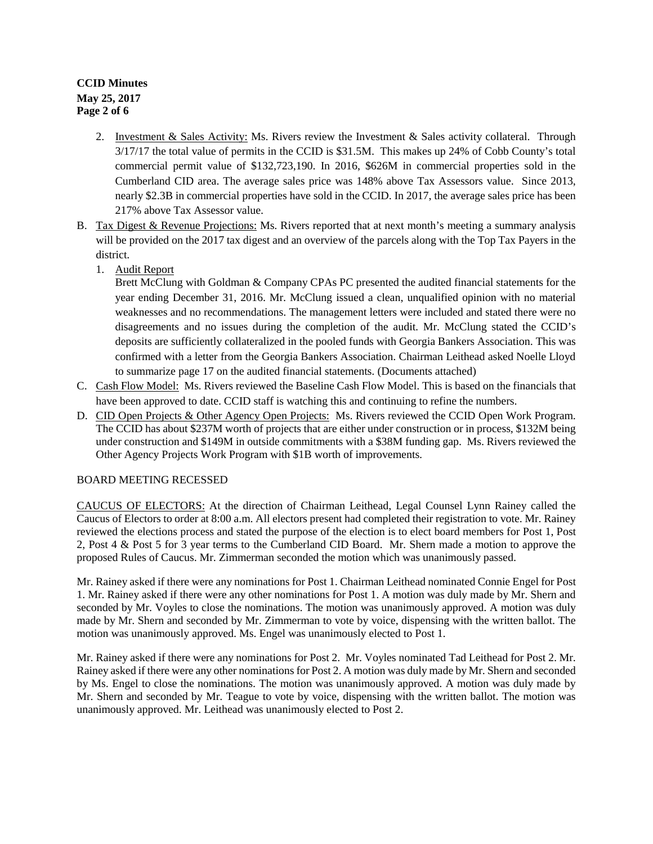# **CCID Minutes May 25, 2017 Page 2 of 6**

- 2. Investment & Sales Activity: Ms. Rivers review the Investment & Sales activity collateral. Through 3/17/17 the total value of permits in the CCID is \$31.5M. This makes up 24% of Cobb County's total commercial permit value of \$132,723,190. In 2016, \$626M in commercial properties sold in the Cumberland CID area. The average sales price was 148% above Tax Assessors value. Since 2013, nearly \$2.3B in commercial properties have sold in the CCID. In 2017, the average sales price has been 217% above Tax Assessor value.
- B. Tax Digest & Revenue Projections: Ms. Rivers reported that at next month's meeting a summary analysis will be provided on the 2017 tax digest and an overview of the parcels along with the Top Tax Payers in the district.
	- 1. Audit Report

Brett McClung with Goldman & Company CPAs PC presented the audited financial statements for the year ending December 31, 2016. Mr. McClung issued a clean, unqualified opinion with no material weaknesses and no recommendations. The management letters were included and stated there were no disagreements and no issues during the completion of the audit. Mr. McClung stated the CCID's deposits are sufficiently collateralized in the pooled funds with Georgia Bankers Association. This was confirmed with a letter from the Georgia Bankers Association. Chairman Leithead asked Noelle Lloyd to summarize page 17 on the audited financial statements. (Documents attached)

- C. Cash Flow Model: Ms. Rivers reviewed the Baseline Cash Flow Model. This is based on the financials that have been approved to date. CCID staff is watching this and continuing to refine the numbers.
- D. CID Open Projects & Other Agency Open Projects: Ms. Rivers reviewed the CCID Open Work Program. The CCID has about \$237M worth of projects that are either under construction or in process, \$132M being under construction and \$149M in outside commitments with a \$38M funding gap. Ms. Rivers reviewed the Other Agency Projects Work Program with \$1B worth of improvements.

## BOARD MEETING RECESSED

CAUCUS OF ELECTORS: At the direction of Chairman Leithead, Legal Counsel Lynn Rainey called the Caucus of Electors to order at 8:00 a.m. All electors present had completed their registration to vote. Mr. Rainey reviewed the elections process and stated the purpose of the election is to elect board members for Post 1, Post 2, Post 4 & Post 5 for 3 year terms to the Cumberland CID Board. Mr. Shern made a motion to approve the proposed Rules of Caucus. Mr. Zimmerman seconded the motion which was unanimously passed.

Mr. Rainey asked if there were any nominations for Post 1. Chairman Leithead nominated Connie Engel for Post 1. Mr. Rainey asked if there were any other nominations for Post 1. A motion was duly made by Mr. Shern and seconded by Mr. Voyles to close the nominations. The motion was unanimously approved. A motion was duly made by Mr. Shern and seconded by Mr. Zimmerman to vote by voice, dispensing with the written ballot. The motion was unanimously approved. Ms. Engel was unanimously elected to Post 1.

Mr. Rainey asked if there were any nominations for Post 2. Mr. Voyles nominated Tad Leithead for Post 2. Mr. Rainey asked if there were any other nominations for Post 2. A motion was duly made by Mr. Shern and seconded by Ms. Engel to close the nominations. The motion was unanimously approved. A motion was duly made by Mr. Shern and seconded by Mr. Teague to vote by voice, dispensing with the written ballot. The motion was unanimously approved. Mr. Leithead was unanimously elected to Post 2.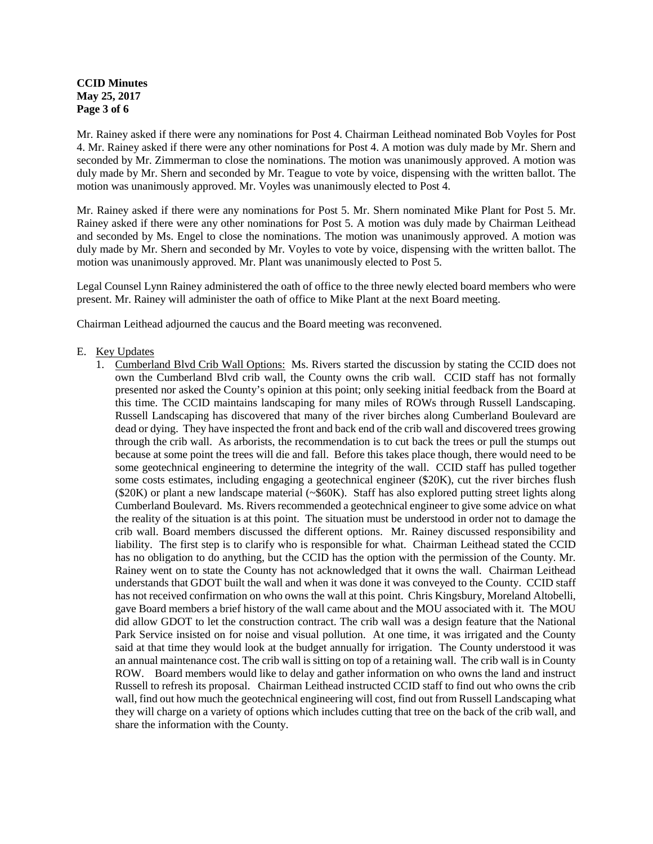## **CCID Minutes May 25, 2017 Page 3 of 6**

Mr. Rainey asked if there were any nominations for Post 4. Chairman Leithead nominated Bob Voyles for Post 4. Mr. Rainey asked if there were any other nominations for Post 4. A motion was duly made by Mr. Shern and seconded by Mr. Zimmerman to close the nominations. The motion was unanimously approved. A motion was duly made by Mr. Shern and seconded by Mr. Teague to vote by voice, dispensing with the written ballot. The motion was unanimously approved. Mr. Voyles was unanimously elected to Post 4.

Mr. Rainey asked if there were any nominations for Post 5. Mr. Shern nominated Mike Plant for Post 5. Mr. Rainey asked if there were any other nominations for Post 5. A motion was duly made by Chairman Leithead and seconded by Ms. Engel to close the nominations. The motion was unanimously approved. A motion was duly made by Mr. Shern and seconded by Mr. Voyles to vote by voice, dispensing with the written ballot. The motion was unanimously approved. Mr. Plant was unanimously elected to Post 5.

Legal Counsel Lynn Rainey administered the oath of office to the three newly elected board members who were present. Mr. Rainey will administer the oath of office to Mike Plant at the next Board meeting.

Chairman Leithead adjourned the caucus and the Board meeting was reconvened.

## E. Key Updates

1. Cumberland Blvd Crib Wall Options: Ms. Rivers started the discussion by stating the CCID does not own the Cumberland Blvd crib wall, the County owns the crib wall. CCID staff has not formally presented nor asked the County's opinion at this point; only seeking initial feedback from the Board at this time. The CCID maintains landscaping for many miles of ROWs through Russell Landscaping. Russell Landscaping has discovered that many of the river birches along Cumberland Boulevard are dead or dying. They have inspected the front and back end of the crib wall and discovered trees growing through the crib wall. As arborists, the recommendation is to cut back the trees or pull the stumps out because at some point the trees will die and fall. Before this takes place though, there would need to be some geotechnical engineering to determine the integrity of the wall. CCID staff has pulled together some costs estimates, including engaging a geotechnical engineer (\$20K), cut the river birches flush (\$20K) or plant a new landscape material (~\$60K). Staff has also explored putting street lights along Cumberland Boulevard. Ms. Rivers recommended a geotechnical engineer to give some advice on what the reality of the situation is at this point. The situation must be understood in order not to damage the crib wall. Board members discussed the different options. Mr. Rainey discussed responsibility and liability. The first step is to clarify who is responsible for what. Chairman Leithead stated the CCID has no obligation to do anything, but the CCID has the option with the permission of the County. Mr. Rainey went on to state the County has not acknowledged that it owns the wall. Chairman Leithead understands that GDOT built the wall and when it was done it was conveyed to the County. CCID staff has not received confirmation on who owns the wall at this point. Chris Kingsbury, Moreland Altobelli, gave Board members a brief history of the wall came about and the MOU associated with it. The MOU did allow GDOT to let the construction contract. The crib wall was a design feature that the National Park Service insisted on for noise and visual pollution. At one time, it was irrigated and the County said at that time they would look at the budget annually for irrigation. The County understood it was an annual maintenance cost. The crib wall is sitting on top of a retaining wall. The crib wall is in County ROW. Board members would like to delay and gather information on who owns the land and instruct Russell to refresh its proposal. Chairman Leithead instructed CCID staff to find out who owns the crib wall, find out how much the geotechnical engineering will cost, find out from Russell Landscaping what they will charge on a variety of options which includes cutting that tree on the back of the crib wall, and share the information with the County.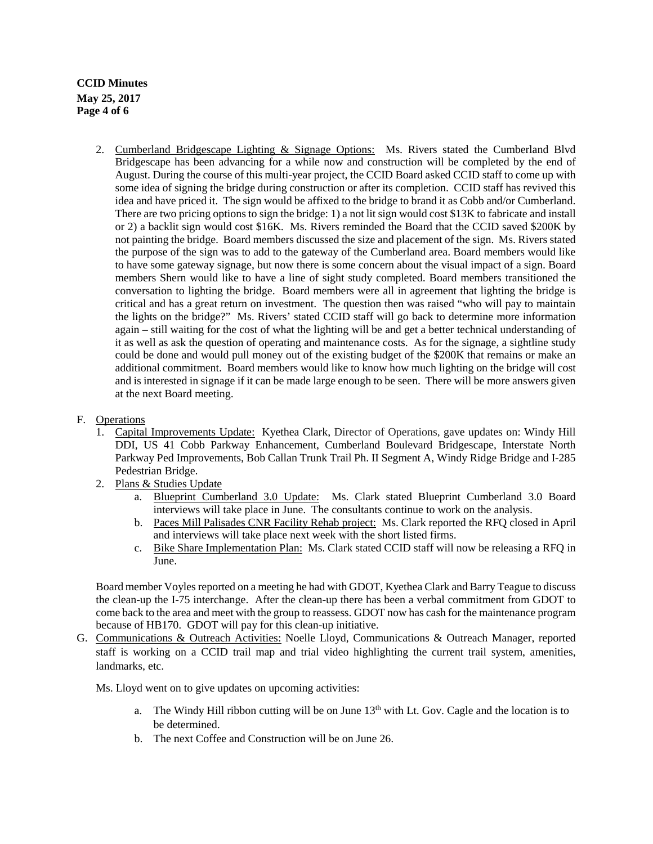**CCID Minutes May 25, 2017 Page 4 of 6**

- 2. Cumberland Bridgescape Lighting & Signage Options: Ms. Rivers stated the Cumberland Blvd Bridgescape has been advancing for a while now and construction will be completed by the end of August. During the course of this multi-year project, the CCID Board asked CCID staff to come up with some idea of signing the bridge during construction or after its completion. CCID staff has revived this idea and have priced it. The sign would be affixed to the bridge to brand it as Cobb and/or Cumberland. There are two pricing options to sign the bridge: 1) a not lit sign would cost \$13K to fabricate and install or 2) a backlit sign would cost \$16K. Ms. Rivers reminded the Board that the CCID saved \$200K by not painting the bridge. Board members discussed the size and placement of the sign. Ms. Rivers stated the purpose of the sign was to add to the gateway of the Cumberland area. Board members would like to have some gateway signage, but now there is some concern about the visual impact of a sign. Board members Shern would like to have a line of sight study completed. Board members transitioned the conversation to lighting the bridge. Board members were all in agreement that lighting the bridge is critical and has a great return on investment. The question then was raised "who will pay to maintain the lights on the bridge?" Ms. Rivers' stated CCID staff will go back to determine more information again – still waiting for the cost of what the lighting will be and get a better technical understanding of it as well as ask the question of operating and maintenance costs. As for the signage, a sightline study could be done and would pull money out of the existing budget of the \$200K that remains or make an additional commitment. Board members would like to know how much lighting on the bridge will cost and is interested in signage if it can be made large enough to be seen. There will be more answers given at the next Board meeting.
- F. Operations
	- 1. Capital Improvements Update:Kyethea Clark, Director of Operations, gave updates on: Windy Hill DDI, US 41 Cobb Parkway Enhancement, Cumberland Boulevard Bridgescape, Interstate North Parkway Ped Improvements, Bob Callan Trunk Trail Ph. II Segment A, Windy Ridge Bridge and I-285 Pedestrian Bridge.
	- 2. Plans & Studies Update
		- a. Blueprint Cumberland 3.0 Update: Ms. Clark stated Blueprint Cumberland 3.0 Board interviews will take place in June. The consultants continue to work on the analysis.
		- b. Paces Mill Palisades CNR Facility Rehab project: Ms. Clark reported the RFQ closed in April and interviews will take place next week with the short listed firms.
		- c. Bike Share Implementation Plan: Ms. Clark stated CCID staff will now be releasing a RFQ in June.

Board member Voyles reported on a meeting he had with GDOT, Kyethea Clark and Barry Teague to discuss the clean-up the I-75 interchange. After the clean-up there has been a verbal commitment from GDOT to come back to the area and meet with the group to reassess. GDOT now has cash for the maintenance program because of HB170. GDOT will pay for this clean-up initiative.

G. Communications & Outreach Activities: Noelle Lloyd, Communications & Outreach Manager, reported staff is working on a CCID trail map and trial video highlighting the current trail system, amenities, landmarks, etc.

Ms. Lloyd went on to give updates on upcoming activities:

- a. The Windy Hill ribbon cutting will be on June  $13<sup>th</sup>$  with Lt. Gov. Cagle and the location is to be determined.
- b. The next Coffee and Construction will be on June 26.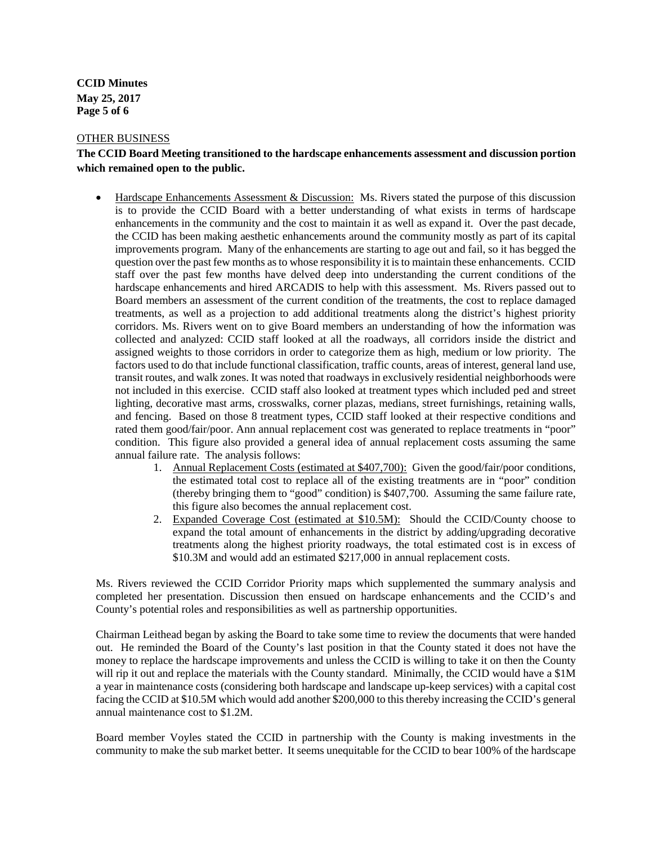**CCID Minutes May 25, 2017 Page 5 of 6**

#### OTHER BUSINESS

## **The CCID Board Meeting transitioned to the hardscape enhancements assessment and discussion portion which remained open to the public.**

- Hardscape Enhancements Assessment & Discussion: Ms. Rivers stated the purpose of this discussion is to provide the CCID Board with a better understanding of what exists in terms of hardscape enhancements in the community and the cost to maintain it as well as expand it. Over the past decade, the CCID has been making aesthetic enhancements around the community mostly as part of its capital improvements program. Many of the enhancements are starting to age out and fail, so it has begged the question over the past few months as to whose responsibility it is to maintain these enhancements. CCID staff over the past few months have delved deep into understanding the current conditions of the hardscape enhancements and hired ARCADIS to help with this assessment. Ms. Rivers passed out to Board members an assessment of the current condition of the treatments, the cost to replace damaged treatments, as well as a projection to add additional treatments along the district's highest priority corridors. Ms. Rivers went on to give Board members an understanding of how the information was collected and analyzed: CCID staff looked at all the roadways, all corridors inside the district and assigned weights to those corridors in order to categorize them as high, medium or low priority. The factors used to do that include functional classification, traffic counts, areas of interest, general land use, transit routes, and walk zones. It was noted that roadways in exclusively residential neighborhoods were not included in this exercise. CCID staff also looked at treatment types which included ped and street lighting, decorative mast arms, crosswalks, corner plazas, medians, street furnishings, retaining walls, and fencing. Based on those 8 treatment types, CCID staff looked at their respective conditions and rated them good/fair/poor. Ann annual replacement cost was generated to replace treatments in "poor" condition. This figure also provided a general idea of annual replacement costs assuming the same annual failure rate. The analysis follows:
	- 1. Annual Replacement Costs (estimated at \$407,700): Given the good/fair/poor conditions, the estimated total cost to replace all of the existing treatments are in "poor" condition (thereby bringing them to "good" condition) is \$407,700. Assuming the same failure rate, this figure also becomes the annual replacement cost.
	- 2. Expanded Coverage Cost (estimated at \$10.5M): Should the CCID/County choose to expand the total amount of enhancements in the district by adding/upgrading decorative treatments along the highest priority roadways, the total estimated cost is in excess of \$10.3M and would add an estimated \$217,000 in annual replacement costs.

Ms. Rivers reviewed the CCID Corridor Priority maps which supplemented the summary analysis and completed her presentation. Discussion then ensued on hardscape enhancements and the CCID's and County's potential roles and responsibilities as well as partnership opportunities.

Chairman Leithead began by asking the Board to take some time to review the documents that were handed out. He reminded the Board of the County's last position in that the County stated it does not have the money to replace the hardscape improvements and unless the CCID is willing to take it on then the County will rip it out and replace the materials with the County standard. Minimally, the CCID would have a \$1M a year in maintenance costs (considering both hardscape and landscape up-keep services) with a capital cost facing the CCID at \$10.5M which would add another \$200,000 to this thereby increasing the CCID's general annual maintenance cost to \$1.2M.

Board member Voyles stated the CCID in partnership with the County is making investments in the community to make the sub market better. It seems unequitable for the CCID to bear 100% of the hardscape